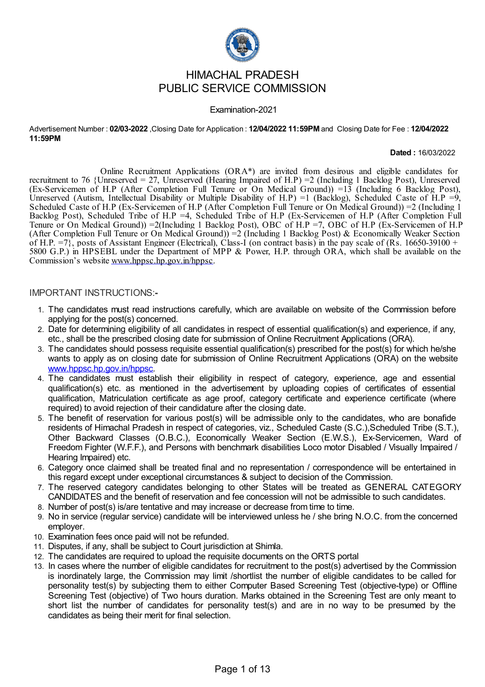

# HIMACHAL PRADESH PUBLIC SERVICE COMMISSION

#### Examination-2021

Advertisement Number : **02/03-2022** ,Closing Date for Application : **12/04/2022 11:59PM** and Closing Date for Fee : **12/04/2022 11:59PM**

**Dated :** 16/03/2022

Online Recruitment Applications (ORA\*) are invited from desirous and eligible candidates for recruitment to 76 {Unreserved = 27, Unreserved (Hearing Impaired of H.P) =2 (Including 1 Backlog Post), Unreserved (Ex-Servicemen of H.P (After Completion Full Tenure or On Medical Ground)) =13 (Including 6 Backlog Post), Unreserved (Autism, Intellectual Disability or Multiple Disability of H.P) =1 (Backlog), Scheduled Caste of H.P =9, Scheduled Caste of H.P (Ex-Servicemen of H.P (After Completion Full Tenure or On Medical Ground)) =2 (Including 1 Backlog Post), Scheduled Tribe of H.P =4, Scheduled Tribe of H.P (Ex-Servicemen of H.P (After Completion Full Tenure or On Medical Ground)) =2(Including 1 Backlog Post), OBC of H.P =7, OBC of H.P (Ex-Servicemen of H.P (After Completion Full Tenure or On Medical Ground)) =2 (Including 1 Backlog Post) & Economically Weaker Section of H.P.  $=7$ }, posts of Assistant Engineer (Electrical), Class-I (on contract basis) in the pay scale of (Rs. 16650-39100 + 5800 G.P.) in HPSEBL under the Department of MPP & Power, H.P. through ORA, which shall be available on the Commission's website [www.hppsc.hp.gov.in/hppsc](http://www.hppsc.hp.gov.in/hppsc).

#### IMPORTANT INSTRUCTIONS:**-**

- 1. The candidates must read instructions carefully, which are available on website of the Commission before applying for the post(s) concerned.
- 2. Date for determining eligibility of all candidates in respect of essential qualification(s) and experience, if any, etc., shall be the prescribed closing date for submission of Online Recruitment Applications (ORA).
- 3. The candidates should possess requisite essential qualification(s) prescribed for the post(s) for which he/she wants to apply as on closing date for submission of Online Recruitment Applications (ORA) on the website [www.hppsc.hp.gov.in/hppsc](http://www.hppsc.hp.gov.in/hppsc).
- 4. The candidates must establish their eligibility in respect of category, experience, age and essential qualification(s) etc. as mentioned in the advertisement by uploading copies of certificates of essential qualification, Matriculation certificate as age proof, category certificate and experience certificate (where required) to avoid rejection of their candidature after the closing date.
- 5. The benefit of reservation for various post(s) will be admissible only to the candidates, who are bonafide residents of Himachal Pradesh in respect of categories, viz., Scheduled Caste (S.C.),Scheduled Tribe (S.T.), Other Backward Classes (O.B.C.), Economically Weaker Section (E.W.S.), Ex-Servicemen, Ward of Freedom Fighter (W.F.F.), and Persons with benchmark disabilities Loco motor Disabled / Visually Impaired / Hearing Impaired) etc.
- 6. Category once claimed shall be treated final and no representation / correspondence will be entertained in this regard except under exceptional circumstances & subject to decision of the Commission.
- 7. The reserved category candidates belonging to other States will be treated as GENERAL CATEGORY CANDIDATES and the benefit of reservation and fee concession will not be admissible to such candidates.
- 8. Number of post(s) is/are tentative and may increase or decrease from time to time.
- 9. No in service (regular service) candidate will be interviewed unless he / she bring N.O.C. from the concerned employer.
- 10. Examination fees once paid will not be refunded.
- 11. Disputes, if any, shall be subject to Court jurisdiction at Shimla.
- 12. The candidates are required to upload the requisite documents on the ORTS portal
- 13. In cases where the number of eligible candidates for recruitment to the post(s) advertised by the Commission is inordinately large, the Commission may limit /shortlist the number of eligible candidates to be called for personality test(s) by subjecting them to either Computer Based Screening Test (objective-type) or Offline Screening Test (objective) of Two hours duration. Marks obtained in the Screening Test are only meant to short list the number of candidates for personality test(s) and are in no way to be presumed by the candidates as being their merit for final selection.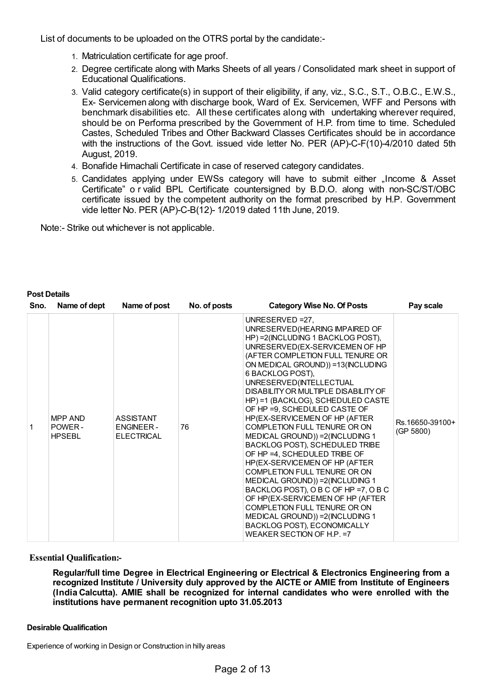List of documents to be uploaded on the OTRS portal by the candidate:-

- 1. Matriculation certificate for age proof.
- 2. Degree certificate along with Marks Sheets of all years / Consolidated mark sheet in support of Educational Qualifications.
- 3. Valid category certificate(s) in support of their eligibility, if any, viz., S.C., S.T., O.B.C., E.W.S., Ex- Servicemen along with discharge book, Ward of Ex. Servicemen, WFF and Persons with benchmark disabilities etc. All these certificates along with undertaking wherever required, should be on Performa prescribed by the Government of H.P. from time to time. Scheduled Castes, Scheduled Tribes and Other Backward Classes Certificates should be in accordance with the instructions of the Govt. issued vide letter No. PER (AP)-C-F(10)-4/2010 dated 5th August, 2019.
- 4. Bonafide Himachali Certificate in case of reserved category candidates.
- 5. Candidates applying under EWSs category will have to submit either "Income & Asset Certificate" o r valid BPL Certificate countersigned by B.D.O. along with non-SC/ST/OBC certificate issued by the competent authority on the format prescribed by H.P. Government vide letter No. PER (AP)-C-B(12)- 1/2019 dated 11th June, 2019.

Note:- Strike out whichever is not applicable.

| Sno. | Name of dept                       | Name of post                                              | No. of posts | <b>Category Wise No. Of Posts</b>                                                                                                                                                                                                                                                                                                                                                                                                                                                                                                                                                                                                                                                                                                                                                                                                                            | Pay scale                    |
|------|------------------------------------|-----------------------------------------------------------|--------------|--------------------------------------------------------------------------------------------------------------------------------------------------------------------------------------------------------------------------------------------------------------------------------------------------------------------------------------------------------------------------------------------------------------------------------------------------------------------------------------------------------------------------------------------------------------------------------------------------------------------------------------------------------------------------------------------------------------------------------------------------------------------------------------------------------------------------------------------------------------|------------------------------|
|      | MPP AND<br>POWER-<br><b>HPSEBL</b> | <b>ASSISTANT</b><br><b>ENGINEER-</b><br><b>ELECTRICAL</b> | 76           | UNRESERVED $=27$ .<br>UNRESERVED (HEARING IMPAIRED OF<br>HP) = 2(INCLUDING 1 BACKLOG POST),<br>UNRESERVED(EX-SERVICEMEN OF HP<br>(AFTER COMPLETION FULL TENURE OR<br>ON MEDICAL GROUND)) =13(INCLUDING<br>6 BACKLOG POST),<br>UNRESERVED(INTELLECTUAL<br>DISABILITY OR MULTIPLE DISABILITY OF<br>HP) =1 (BACKLOG), SCHEDULED CASTE<br>OF HP =9, SCHEDULED CASTE OF<br>HP(EX-SERVICEMEN OF HP (AFTER<br>COMPLETION FULL TENURE OR ON<br>MEDICAL GROUND)) = 2(INCLUDING 1<br>BACKLOG POST), SCHEDULED TRIBE<br>OF HP = 4, SCHEDULED TRIBE OF<br>HP(EX-SERVICEMEN OF HP (AFTER<br>COMPLETION FULL TENURE OR ON<br>MEDICAL GROUND)) = 2(INCLUDING 1<br>BACKLOG POST), O B C OF HP =7, O B C<br>OF HP(EX-SERVICEMEN OF HP (AFTER<br>COMPLETION FULL TENURE OR ON<br>MEDICAL GROUND)) = 2(INCLUDING 1<br>BACKLOG POST), ECONOMICALLY<br>WEAKER SECTION OF H.P. = 7 | Rs.16650-39100+<br>(GP 5800) |

#### **Post Details**

#### **Essential Qualification:-**

**Regular/full time Degree in Electrical Engineering or Electrical & Electronics Engineering from a recognized Institute / University duly approved by the AICTE or AMIE from Institute of Engineers (India Calcutta). AMIE shall be recognized for internal candidates who were enrolled with the institutions have permanent recognition upto 31.05.2013**

#### **Desirable Qualification**

Experience of working in Design or Construction in hilly areas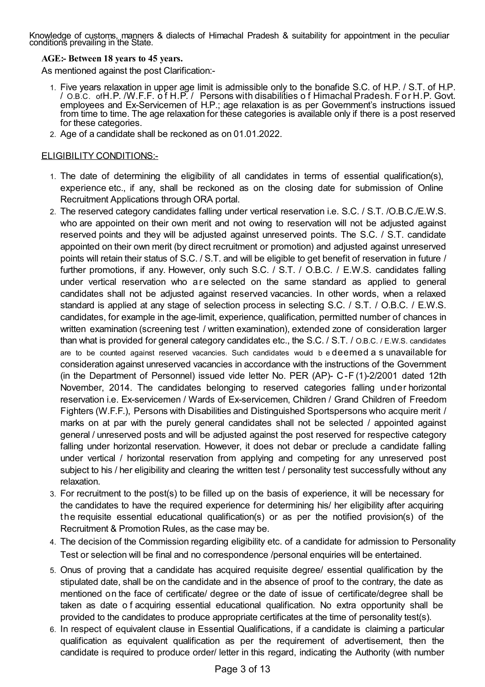Knowledge of customs, manners & dialects of Himachal Pradesh & suitability for appointment in the peculiar conditions prevailing in the State.

## **AGE:- Between 18 years to 45 years.**

As mentioned against the post Clarification:-

- 1. Five years relaxation in upper age limit is admissible only to the bonafide S.C. of H.P. / S.T. of H.P. / O.B.C. ofH.P. /W.F.F. o f H.P. / Persons with disabilities o f Himachal Pradesh. F or H.P. Govt. employees and Ex-Servicemen of H.P.; age relaxation is as per Government's instructions issued from time to time. The age relaxation for these categories is available only if there is a post reserved for these categories.
- 2. Age of a candidate shall be reckoned as on 01.01.2022.

### ELIGIBILITY CONDITIONS:-

- 1. The date of determining the eligibility of all candidates in terms of essential qualification(s), experience etc., if any, shall be reckoned as on the closing date for submission of Online Recruitment Applications through ORA portal.
- 2. The reserved category candidates falling under vertical reservation i.e. S.C. / S.T. /O.B.C./E.W.S. who are appointed on their own merit and not owing to reservation will not be adjusted against reserved points and they will be adjusted against unreserved points. The S.C. / S.T. candidate appointed on their own merit (by direct recruitment or promotion) and adjusted against unreserved points will retain their status of S.C. / S.T. and will be eligible to get benefit of reservation in future / further promotions, if any. However, only such S.C. / S.T. / O.B.C. / E.W.S. candidates falling under vertical reservation who are selected on the same standard as applied to general candidates shall not be adjusted against reserved vacancies. In other words, when a relaxed standard is applied at any stage of selection process in selecting S.C. / S.T. / O.B.C. / E.W.S. candidates, for example in the age-limit, experience, qualification, permitted number of chances in written examination (screening test / written examination), extended zone of consideration larger than what is provided for general category candidates etc., the S.C. / S.T. / O.B.C. / E.W.S. candidates are to be counted against reserved vacancies. Such candidates would b e deemed a s unavailable for consideration against unreserved vacancies in accordance with the instructions of the Government (in the Department of Personnel) issued vide letter No. PER (AP)- C-F (1)-2/2001 dated 12th November, 2014. The candidates belonging to reserved categories falling under horizontal reservation i.e. Ex-servicemen / Wards of Ex-servicemen, Children / Grand Children of Freedom Fighters (W.F.F.), Persons with Disabilities and Distinguished Sportspersons who acquire merit / marks on at par with the purely general candidates shall not be selected / appointed against general / unreserved posts and will be adjusted against the post reserved for respective category falling under horizontal reservation. However, it does not debar or preclude a candidate falling under vertical / horizontal reservation from applying and competing for any unreserved post subject to his / her eligibility and clearing the written test / personality test successfully without any relaxation.
- 3. For recruitment to the post(s) to be filled up on the basis of experience, it will be necessary for the candidates to have the required experience for determining his/ her eligibility after acquiring the requisite essential educational qualification(s) or as per the notified provision(s) of the Recruitment & Promotion Rules, as the case may be.
- 4. The decision of the Commission regarding eligibility etc. of a candidate for admission to Personality Test or selection will be final and no correspondence /personal enquiries will be entertained.
- 5. Onus of proving that a candidate has acquired requisite degree/ essential qualification by the stipulated date, shall be on the candidate and in the absence of proof to the contrary, the date as mentioned on the face of certificate/ degree or the date of issue of certificate/degree shall be taken as date o f acquiring essential educational qualification. No extra opportunity shall be provided to the candidates to produce appropriate certificates at the time of personality test(s).
- 6. In respect of equivalent clause in Essential Qualifications, if a candidate is claiming a particular qualification as equivalent qualification as per the requirement of advertisement, then the candidate is required to produce order/ letter in this regard, indicating the Authority (with number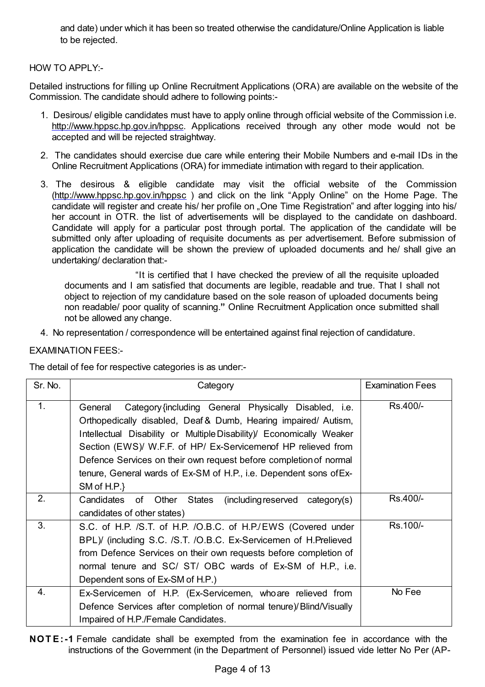and date) under which it has been so treated otherwise the candidature/Online Application is liable to be rejected.

## HOW TO APPLY:-

Detailed instructions for filling up Online Recruitment Applications (ORA) are available on the website of the Commission. The candidate should adhere to following points:-

- 1. Desirous/ eligible candidates must have to apply online through official website of the Commission i.e. <http://www.hppsc.hp.gov.in/hppsc>. Applications received through any other mode would not be accepted and will be rejected straightway.
- 2. The candidates should exercise due care while entering their Mobile Numbers and e-mail IDs in the Online Recruitment Applications (ORA) for immediate intimation with regard to their application.
- 3. The desirous & eligible candidate may visit the official website of the Commission [\(http://www.hppsc.hp.gov.in/hppsc](http://www.hppsc.hp.gov.in/hppsc)) and click on the link "Apply Online" on the Home Page. The candidate will register and create his/ her profile on "One Time Registration" and after logging into his/ her account in OTR. the list of advertisements will be displayed to the candidate on dashboard. Candidate will apply for a particular post through portal. The application of the candidate will be submitted only after uploading of requisite documents as per advertisement. Before submission of application the candidate will be shown the preview of uploaded documents and he/ shall give an undertaking/ declaration that:-

"It is certified that I have checked the preview of all the requisite uploaded documents and I am satisfied that documents are legible, readable and true. That I shall not object to rejection of my candidature based on the sole reason of uploaded documents being non readable/ poor quality of scanning.**"** Online Recruitment Application once submitted shall not be allowed any change.

4. No representation / correspondence will be entertained against final rejection of candidature.

## EXAMINATION FEES:-

The detail of fee for respective categories is as under:-

| Sr. No. | Category                                                                                                                                                                                                                                                                                                                                                                                                                              | <b>Examination Fees</b> |
|---------|---------------------------------------------------------------------------------------------------------------------------------------------------------------------------------------------------------------------------------------------------------------------------------------------------------------------------------------------------------------------------------------------------------------------------------------|-------------------------|
| 1.      | Category {including General Physically Disabled, i.e.<br>General<br>Orthopedically disabled, Deaf & Dumb, Hearing impaired/ Autism,<br>Intellectual Disability or Multiple Disability)/ Economically Weaker<br>Section (EWS)/ W.F.F. of HP/ Ex-Servicemenof HP relieved from<br>Defence Services on their own request before completion of normal<br>tenure, General wards of Ex-SM of H.P., i.e. Dependent sons of Ex-<br>SM of H.P. | Rs.400/-                |
| 2.      | Candidates of Other States<br>(including reserved category(s))<br>candidates of other states)                                                                                                                                                                                                                                                                                                                                         | Rs.400/-                |
| 3.      | S.C. of H.P. /S.T. of H.P. /O.B.C. of H.P./EWS (Covered under<br>BPL)/ (including S.C. /S.T. /O.B.C. Ex-Servicemen of H.Prelieved<br>from Defence Services on their own requests before completion of<br>normal tenure and SC/ ST/ OBC wards of Ex-SM of H.P., i.e.<br>Dependent sons of Ex-SM of H.P.)                                                                                                                               | Rs.100/-                |
| 4.      | Ex-Servicemen of H.P. (Ex-Servicemen, who are relieved from<br>Defence Services after completion of normal tenure) Blind/Visually<br>Impaired of H.P./Female Candidates.                                                                                                                                                                                                                                                              | No Fee                  |

**NOT E:-1** Female candidate shall be exempted from the examination fee in accordance with the instructions of the Government (in the Department of Personnel) issued vide letter No Per (AP-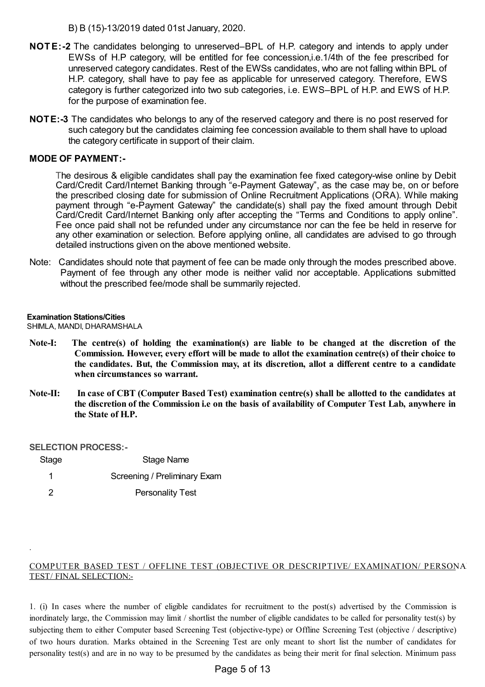B) B (15)-13/2019 dated 01st January, 2020.

- **NOTE:-2** The candidates belonging to unreserved–BPL of H.P. category and intends to apply under EWSs of H.P category, will be entitled for fee concession,i.e.1/4th of the fee prescribed for unreserved category candidates. Rest of the EWSs candidates, who are not falling within BPL of H.P. category, shall have to pay fee as applicable for unreserved category. Therefore, EWS category is further categorized into two sub categories, i.e. EWS–BPL of H.P. and EWS of H.P. for the purpose of examination fee.
- **NOTE:-3** The candidates who belongs to any of the reserved category and there is no post reserved for such category but the candidates claiming fee concession available to them shall have to upload the category certificate in support of their claim.

#### **MODE OF PAYMENT:-**

The desirous & eligible candidates shall pay the examination fee fixed category-wise online by Debit Card/Credit Card/Internet Banking through "e-Payment Gateway", as the case may be, on or before the prescribed closing date for submission of Online Recruitment Applications (ORA). While making payment through "e-Payment Gateway" the candidate(s) shall pay the fixed amount through Debit Card/Credit Card/Internet Banking only after accepting the "Terms and Conditions to apply online". Fee once paid shall not be refunded under any circumstance nor can the fee be held in reserve for any other examination or selection. Before applying online, all candidates are advised to go through detailed instructions given on the above mentioned website.

Note: Candidates should note that payment of fee can be made only through the modes prescribed above. Payment of fee through any other mode is neither valid nor acceptable. Applications submitted without the prescribed fee/mode shall be summarily rejected.

#### **Examination Stations/Cities**

SHIMLA, MANDI, DHARAMSHALA

- **Note-I: The centre(s) of holding the examination(s) are liable to be changed at the discretion of the Commission. However, every effort will be made to allot the examination centre(s) of their choice to the candidates. But, the Commission may, at its discretion, allot a different centre to a candidate when circumstances so warrant.**
- Note-II: In case of CBT (Computer Based Test) examination centre(s) shall be allotted to the candidates at **the discretion of the Commission i.e on the basis of availability of Computer Test Lab, anywhere in the State of H.P.**

#### **SELECTION PROCESS:-**

.

| Stage | Stage Name                   |
|-------|------------------------------|
|       | Screening / Preliminary Exam |
|       | <b>Personality Test</b>      |

### COMPUTER BASED TEST / OFFLINE TEST (OBJECTIVE OR DESCRIPTIVE/ EXAMINATION/ PERSONAL TEST/ FINAL SELECTION:-

1. (i) In cases where the number of eligible candidates for recruitment to the post(s) advertised by the Commission is inordinately large, the Commission may limit / shortlist the number of eligible candidates to be called for personality test(s) by subjecting them to either Computer based Screening Test (objective-type) or Offline Screening Test (objective / descriptive) of two hours duration. Marks obtained in the Screening Test are only meant to short list the number of candidates for personality test(s) and are in no way to be presumed by the candidates as being their merit for final selection. Minimum pass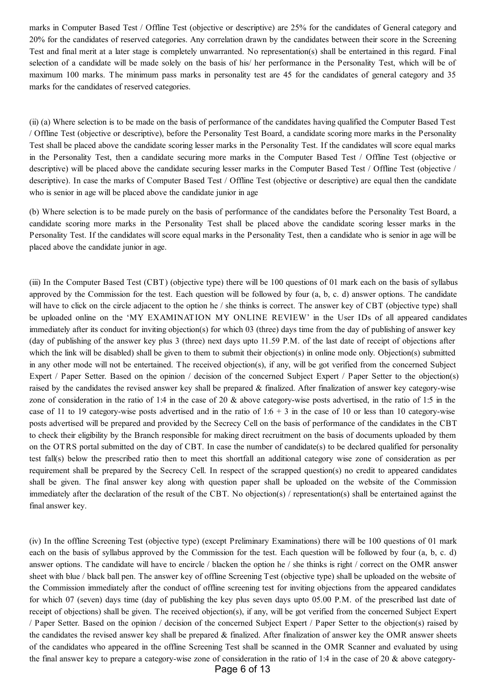marks in Computer Based Test / Offline Test (objective or descriptive) are 25% for the candidates of General category and 20% for the candidates of reserved categories. Any correlation drawn by the candidates between their score in the Screening Test and final merit at a later stage is completely unwarranted. No representation(s) shall be entertained in this regard. Final selection of a candidate will be made solely on the basis of his/ her performance in the Personality Test, which will be of maximum 100 marks. The minimum pass marks in personality test are 45 for the candidates of general category and 35 marks for the candidates of reserved categories.

(ii) (a) Where selection is to be made on the basis of performance of the candidates having qualified the Computer Based Test / Offline Test (objective or descriptive), before the Personality Test Board, a candidate scoring more marks in the Personality Test shall be placed above the candidate scoring lesser marks in the Personality Test. If the candidates will score equal marks in the Personality Test, then a candidate securing more marks in the Computer Based Test / Offline Test (objective or descriptive) will be placed above the candidate securing lesser marks in the Computer Based Test / Offline Test (objective / descriptive). In case the marks of Computer Based Test / Offline Test (objective or descriptive) are equal then the candidate who is senior in age will be placed above the candidate junior in age

(b) Where selection is to be made purely on the basis of performance of the candidates before the Personality Test Board, a candidate scoring more marks in the Personality Test shall be placed above the candidate scoring lesser marks in the Personality Test. If the candidates will score equal marks in the Personality Test, then a candidate who is senior in age will be placed above the candidate junior in age.

(iii) In the Computer Based Test (CBT) (objective type) there will be 100 questions of 01 mark each on the basis of syllabus approved by the Commission for the test. Each question will be followed by four (a, b, c. d) answer options. The candidate will have to click on the circle adjacent to the option he / she thinks is correct. The answer key of CBT (objective type) shall be uploaded online on the 'MY EXAMINATION MY ONLINE REVIEW' in the User IDs of all appeared candidates immediately after its conduct for inviting objection(s) for which 03 (three) days time from the day of publishing of answer key (day of publishing of the answer key plus 3 (three) next days upto 11.59 P.M. of the last date of receipt of objections after which the link will be disabled) shall be given to them to submit their objection(s) in online mode only. Objection(s) submitted in any other mode will not be entertained. The received objection(s), if any, will be got verified from the concerned Subject Expert / Paper Setter. Based on the opinion / decision of the concerned Subject Expert / Paper Setter to the objection(s) raised by the candidates the revised answer key shall be prepared  $\&$  finalized. After finalization of answer key category-wise zone of consideration in the ratio of 1:4 in the case of 20 & above category-wise posts advertised, in the ratio of 1:5 in the case of 11 to 19 category-wise posts advertised and in the ratio of  $1:6 + 3$  in the case of 10 or less than 10 category-wise posts advertised will be prepared and provided by the Secrecy Cell on the basis of performance of the candidates in the CBT to check their eligibility by the Branch responsible for making direct recruitment on the basis of documents uploaded by them on the OTRS portal submitted on the day of CBT. In case the number of candidate(s) to be declared qualified for personality test fall(s) below the prescribed ratio then to meet this shortfall an additional category wise zone of consideration as per requirement shall be prepared by the Secrecy Cell. In respect of the scrapped question(s) no credit to appeared candidates shall be given. The final answer key along with question paper shall be uploaded on the website of the Commission immediately after the declaration of the result of the CBT. No objection(s) / representation(s) shall be entertained against the final answer key.

(iv) In the offline Screening Test (objective type) (except Preliminary Examinations) there will be 100 questions of 01 mark each on the basis of syllabus approved by the Commission for the test. Each question will be followed by four (a, b, c. d) answer options. The candidate will have to encircle / blacken the option he / she thinks is right / correct on the OMR answer sheet with blue / black ball pen. The answer key of offline Screening Test (objective type) shall be uploaded on the website of the Commission immediately after the conduct of offline screening test for inviting objections from the appeared candidates for which 07 (seven) days time (day of publishing the key plus seven days upto 05.00 P.M. of the prescribed last date of receipt of objections) shall be given. The received objection(s), if any, will be got verified from the concerned Subject Expert / Paper Setter. Based on the opinion / decision of the concerned Subject Expert / Paper Setter to the objection(s) raised by the candidates the revised answer key shall be prepared & finalized. After finalization of answer key the OMR answer sheets of the candidates who appeared in the offline Screening Test shall be scanned in the OMR Scanner and evaluated by using the final answer key to prepare a category-wise zone of consideration in the ratio of 1:4 in the case of 20 & above category-

Page 6 of 13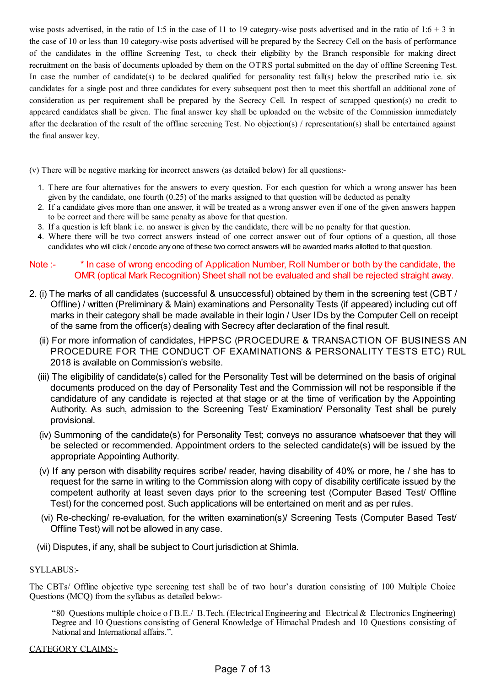wise posts advertised, in the ratio of 1:5 in the case of 11 to 19 category-wise posts advertised and in the ratio of  $1:6 + 3$  in the case of 10 or less than 10 category-wise posts advertised will be prepared by the Secrecy Cell on the basis of performance of the candidates in the offline Screening Test, to check their eligibility by the Branch responsible for making direct recruitment on the basis of documents uploaded by them on the OTRS portal submitted on the day of offline Screening Test. In case the number of candidate(s) to be declared qualified for personality test fall(s) below the prescribed ratio i.e. six candidates for a single post and three candidates for every subsequent post then to meet this shortfall an additional zone of consideration as per requirement shall be prepared by the Secrecy Cell. In respect of scrapped question(s) no credit to appeared candidates shall be given. The final answer key shall be uploaded on the website of the Commission immediately after the declaration of the result of the offline screening Test. No objection(s) / representation(s) shall be entertained against the final answer key.

(v) There will be negative marking for incorrect answers (as detailed below) for all questions:-

- 1. There are four alternatives for the answers to every question. For each question for which a wrong answer has been given by the candidate, one fourth (0.25) of the marks assigned to that question will be deducted as penalty
- 2. If a candidate gives more than one answer, it will be treated as a wrong answer even if one of the given answers happen to be correct and there will be same penalty as above for that question.
- 3. If a question is left blank i.e. no answer is given by the candidate, there will be no penalty for that question.
- 4. Where there will be two correct answers instead of one correct answer out of four options of a question, all those candidates who will click / encode any one of these two correct answers will be awarded marks allotted to that question.

### Note :- \* In case of wrong encoding of Application Number, Roll Number or both by the candidate, the OMR (optical Mark Recognition) Sheet shall not be evaluated and shall be rejected straight away.

- 2. (i) The marks of all candidates (successful & unsuccessful) obtained by them in the screening test (CBT / Offline) / written (Preliminary & Main) examinations and Personality Tests (if appeared) including cut off marks in their category shall be made available in their login / User IDs by the Computer Cell on receipt of the same from the officer(s) dealing with Secrecy after declaration of the final result.
	- (ii) For more information of candidates, HPPSC (PROCEDURE & TRANSACTION OF BUSINESS AND PROCEDURE FOR THE CONDUCT OF EXAMINATIONS & PERSONALITY TESTS ETC) RUL 2018 is available on Commission's website.
	- (iii) The eligibility of candidate(s) called for the Personality Test will be determined on the basis of original documents produced on the day of Personality Test and the Commission will not be responsible if the candidature of any candidate is rejected at that stage or at the time of verification by the Appointing Authority. As such, admission to the Screening Test/ Examination/ Personality Test shall be purely provisional.
	- (iv) Summoning of the candidate(s) for Personality Test; conveys no assurance whatsoever that they will be selected or recommended. Appointment orders to the selected candidate(s) will be issued by the appropriate Appointing Authority.
	- (v) If any person with disability requires scribe/ reader, having disability of 40% or more, he / she has to request for the same in writing to the Commission along with copy of disability certificate issued by the competent authority at least seven days prior to the screening test (Computer Based Test/ Offline Test) for the concerned post. Such applications will be entertained on merit and as per rules.
	- (vi) Re-checking/ re-evaluation, for the written examination(s)/ Screening Tests (Computer Based Test/ Offline Test) will not be allowed in any case.
	- (vii) Disputes, if any, shall be subject to Court jurisdiction at Shimla.

#### SYLLABUS:-

The CBTs/ Offline objective type screening test shall be of two hour's duration consisting of 100 Multiple Choice Questions (MCQ) from the syllabus as detailed below:-

"80 Questions multiple choice o f B.E./ B.Tech. (Electrical Engineering and Electrical& Electronics Engineering) Degree and 10 Questions consisting of General Knowledge of Himachal Pradesh and 10 Questions consisting of National and International affairs.".

#### CATEGORY CLAIMS:-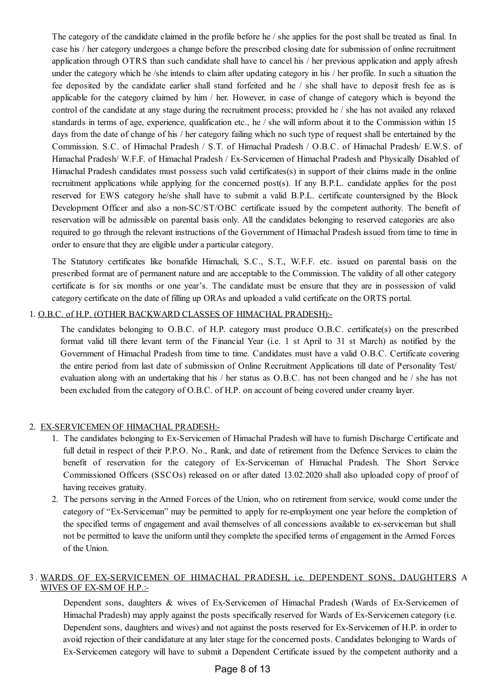The category of the candidate claimed in the profile before he / she applies for the post shall be treated as final. In case his / her category undergoes a change before the prescribed closing date for submission of online recruitment application through OTRS than such candidate shall have to cancel his / her previous application and apply afresh under the category which he /she intends to claim after updating category in his / her profile. In such a situation the fee deposited by the candidate earlier shall stand forfeited and he / she shall have to deposit fresh fee as is applicable for the category claimed by him / her. However, in case of change of category which is beyond the control of the candidate at any stage during the recruitment process; provided he / she has not availed any relaxed standards in terms of age, experience, qualification etc., he / she will inform about it to the Commission within 15 days from the date of change of his / her category failing which no such type of request shall be entertained by the Commission. S.C. of Himachal Pradesh / S.T. of Himachal Pradesh / O.B.C. of Himachal Pradesh/ E.W.S. of Himachal Pradesh/ W.F.F. of Himachal Pradesh / Ex-Servicemen of Himachal Pradesh and Physically Disabled of Himachal Pradesh candidates must possess such valid certificates(s) in support of their claims made in the online recruitment applications while applying for the concerned post(s). If any B.P.L. candidate applies for the post reserved for EWS category he/she shall have to submit a valid B.P.L. certificate countersigned by the Block Development Officer and also a non-SC/ST/OBC certificate issued by the competent authority. The benefit of reservation will be admissible on parental basis only. All the candidates belonging to reserved categories are also required to go through the relevant instructions of the Government of Himachal Pradesh issued from time to time in order to ensure that they are eligible under a particular category.

The Statutory certificates like bonafide Himachali, S.C., S.T., W.F.F. etc. issued on parental basis on the prescribed format are of permanent nature and are acceptable to the Commission. The validity of all other category certificate is for six months or one year's. The candidate must be ensure that they are in possession of valid category certificate on the date of filling up ORAs and uploaded a valid certificate on the ORTS portal.

#### 1. O.B.C. of H.P. (OTHER BACKWARD CLASSES OF HIMACHAL PRADESH):-

The candidates belonging to O.B.C. of H.P. category must produce O.B.C. certificate(s) on the prescribed format valid till there levant term of the Financial Year (i.e. 1 st April to 31 st March) as notified by the Government of Himachal Pradesh from time to time. Candidates must have a valid O.B.C. Certificate covering the entire period from last date of submission of Online Recruitment Applications till date of Personality Test/ evaluation along with an undertaking that his / her status as O.B.C. has not been changed and he / she has not been excluded from the category of O.B.C. of H.P. on account of being covered under creamy layer.

#### 2. EX-SERVICEMEN OF HIMACHAL PRADESH:-

- 1. The candidates belonging to Ex-Servicemen of Himachal Pradesh will have to furnish Discharge Certificate and full detail in respect of their P.P.O. No., Rank, and date of retirement from the Defence Services to claim the benefit of reservation for the category of Ex-Serviceman of Himachal Pradesh. The Short Service Commissioned Officers (SSCOs) released on or after dated 13.02.2020 shall also uploaded copy of proof of having receives gratuity.
- 2. The persons serving in the Armed Forces of the Union, who on retirement from service, would come under the category of "Ex-Serviceman" may be permitted to apply for re-employment one year before the completion of the specified terms of engagement and avail themselves of all concessions available to ex-serviceman but shall not be permitted to leave the uniform until they complete the specified terms of engagement in the Armed Forces of the Union.

#### 3. WARDS OF EX-SERVICEMEN OF HIMACHAL PRADESH, i.e. DEPENDENT SONS, DAUGHTERS A WIVES OF EX-SM OF H.P.:-

Dependent sons, daughters & wives of Ex-Servicemen of Himachal Pradesh (Wards of Ex-Servicemen of Himachal Pradesh) may apply against the posts specifically reserved for Wards of Ex-Servicemen category (i.e. Dependent sons, daughters and wives) and not against the posts reserved for Ex-Servicemen of H.P. in order to avoid rejection of their candidature at any later stage for the concerned posts. Candidates belonging to Wards of Ex-Servicemen category will have to submit a Dependent Certificate issued by the competent authority and a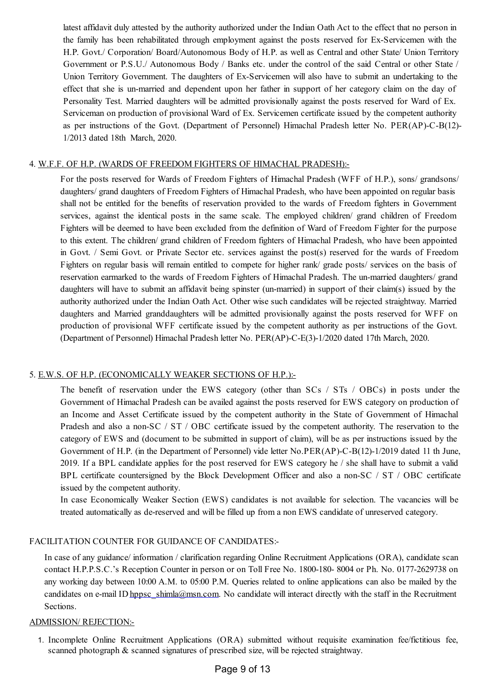latest affidavit duly attested by the authority authorized under the Indian Oath Act to the effect that no person in the family has been rehabilitated through employment against the posts reserved for Ex-Servicemen with the H.P. Govt./ Corporation/ Board/Autonomous Body of H.P. as well as Central and other State/ Union Territory Government or P.S.U./ Autonomous Body / Banks etc. under the control of the said Central or other State / Union Territory Government. The daughters of Ex-Servicemen will also have to submit an undertaking to the effect that she is un-married and dependent upon her father in support of her category claim on the day of Personality Test. Married daughters will be admitted provisionally against the posts reserved for Ward of Ex. Serviceman on production of provisional Ward of Ex. Servicemen certificate issued by the competent authority as per instructions of the Govt. (Department of Personnel) Himachal Pradesh letter No. PER(AP)-C-B(12)- 1/2013 dated 18th March, 2020.

#### 4. W.F.F. OF H.P. (WARDS OF FREEDOM FIGHTERS OF HIMACHAL PRADESH):-

For the posts reserved for Wards of Freedom Fighters of Himachal Pradesh (WFF of H.P.), sons/ grandsons/ daughters/ grand daughters of Freedom Fighters of Himachal Pradesh, who have been appointed on regular basis shall not be entitled for the benefits of reservation provided to the wards of Freedom fighters in Government services, against the identical posts in the same scale. The employed children/ grand children of Freedom Fighters will be deemed to have been excluded from the definition of Ward of Freedom Fighter for the purpose to this extent. The children/ grand children of Freedom fighters of Himachal Pradesh, who have been appointed in Govt. / Semi Govt. or Private Sector etc. services against the post(s) reserved for the wards of Freedom Fighters on regular basis will remain entitled to compete for higher rank/ grade posts/ services on the basis of reservation earmarked to the wards of Freedom Fighters of Himachal Pradesh. The un-married daughters/ grand daughters will have to submit an affidavit being spinster (un-married) in support of their claim(s) issued by the authority authorized under the Indian Oath Act. Other wise such candidates will be rejected straightway. Married daughters and Married granddaughters will be admitted provisionally against the posts reserved for WFF on production of provisional WFF certificate issued by the competent authority as per instructions of the Govt. (Department of Personnel) Himachal Pradesh letter No. PER(AP)-C-E(3)-1/2020 dated 17th March, 2020.

### 5. E.W.S. OF H.P. (ECONOMICALLY WEAKER SECTIONS OF H.P.):-

The benefit of reservation under the EWS category (other than SCs / STs / OBCs) in posts under the Government of Himachal Pradesh can be availed against the posts reserved for EWS category on production of an Income and Asset Certificate issued by the competent authority in the State of Government of Himachal Pradesh and also a non-SC / ST / OBC certificate issued by the competent authority. The reservation to the category of EWS and (document to be submitted in support of claim), will be as per instructions issued by the Government of H.P. (in the Department of Personnel) vide letter No.PER(AP)-C-B(12)-1/2019 dated 11 th June, 2019. If a BPL candidate applies for the post reserved for EWS category he / she shall have to submit a valid BPL certificate countersigned by the Block Development Officer and also a non-SC / ST / OBC certificate issued by the competent authority.

In case Economically Weaker Section (EWS) candidates is not available for selection. The vacancies will be treated automatically as de-reserved and will be filled up from a non EWS candidate of unreserved category.

## FACILITATION COUNTER FOR GUIDANCE OF CANDIDATES:-

In case of any guidance/ information / clarification regarding Online Recruitment Applications (ORA), candidate scan contact H.P.P.S.C.'s Reception Counter in person or on Toll Free No. 1800-180- 8004 or Ph. No. 0177-2629738 on any working day between 10:00 A.M. to 05:00 P.M. Queries related to online applications can also be mailed by the candidates on e-mail ID [hppsc\\_shimla@msn.com](mailto:hppsc_shimla@msn.com). No candidate will interact directly with the staff in the Recruitment Sections.

#### ADMISSION/ REJECTION:-

1. Incomplete Online Recruitment Applications (ORA) submitted without requisite examination fee/fictitious fee, scanned photograph & scanned signatures of prescribed size, will be rejected straightway.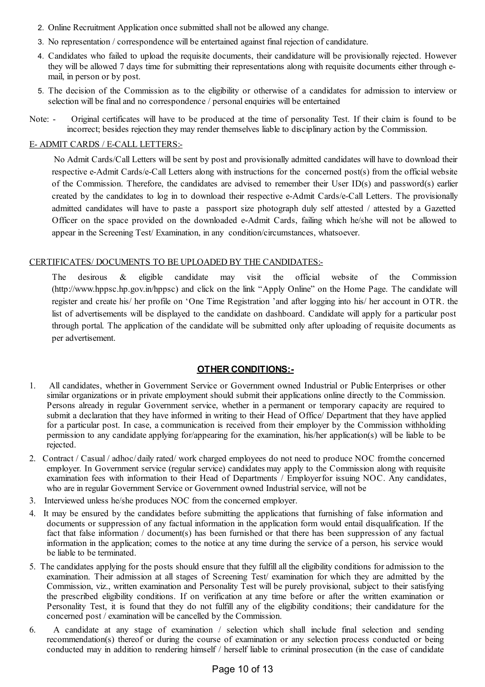- 2. Online Recruitment Application once submitted shall not be allowed any change.
- 3. No representation / correspondence will be entertained against final rejection of candidature.
- 4. Candidates who failed to upload the requisite documents, their candidature will be provisionally rejected. However they will be allowed 7 days time for submitting their representations along with requisite documents either through email, in person or by post.
- 5. The decision of the Commission as to the eligibility or otherwise of a candidates for admission to interview or selection will be final and no correspondence / personal enquiries will be entertained
- Note: Original certificates will have to be produced at the time of personality Test. If their claim is found to be incorrect; besides rejection they may render themselves liable to disciplinary action by the Commission.

#### E- ADMIT CARDS / E-CALL LETTERS:-

No Admit Cards/Call Letters will be sent by post and provisionally admitted candidates will have to download their respective e-Admit Cards/e-Call Letters along with instructions for the concerned post(s) from the official website of the Commission. Therefore, the candidates are advised to remember their User ID(s) and password(s) earlier created by the candidates to log in to download their respective e-Admit Cards/e-Call Letters. The provisionally admitted candidates will have to paste a passport size photograph duly self attested / attested by a Gazetted Officer on the space provided on the downloaded e-Admit Cards, failing which he/she will not be allowed to appear in the Screening Test/ Examination, in any condition/circumstances, whatsoever.

#### CERTIFICATES/ DOCUMENTS TO BE UPLOADED BY THE CANDIDATES:-

The desirous & eligible candidate may visit the official website of the Commission (http://www.hppsc.hp.gov.in/hppsc) and click on the link "Apply Online" on the Home Page. The candidate will register and create his/ her profile on 'One Time Registration 'and after logging into his/ her account in OTR. the list of advertisements will be displayed to the candidate on dashboard. Candidate will apply for a particular post through portal. The application of the candidate will be submitted only after uploading of requisite documents as per advertisement.

### **OTHER CONDITIONS:-**

- 1. All candidates, whether in Government Service or Government owned Industrial or Public Enterprises or other similar organizations or in private employment should submit their applications online directly to the Commission. Persons already in regular Government service, whether in a permanent or temporary capacity are required to submit a declaration that they have informed in writing to their Head of Office/ Department that they have applied for a particular post. In case, a communication is received from their employer by the Commission withholding permission to any candidate applying for/appearing for the examination, his/her application(s) will be liable to be rejected.
- 2. Contract / Casual / adhoc/ daily rated/ work charged employees do not need to produce NOC fromthe concerned employer. In Government service (regular service) candidates may apply to the Commission along with requisite examination fees with information to their Head of Departments / Employerfor issuing NOC. Any candidates, who are in regular Government Service or Government owned Industrial service, will not be
- 3. Interviewed unless he/she produces NOC from the concerned employer.
- 4. It may be ensured by the candidates before submitting the applications that furnishing of false information and documents or suppression of any factual information in the application form would entail disqualification. If the fact that false information / document(s) has been furnished or that there has been suppression of any factual information in the application; comes to the notice at any time during the service of a person, his service would be liable to be terminated.
- 5. The candidates applying for the posts should ensure that they fulfillall the eligibility conditions foradmission to the examination. Their admission at all stages of Screening Test/ examination for which they are admitted by the Commission, viz., written examination and Personality Test will be purely provisional, subject to their satisfying the prescribed eligibility conditions. If on verification at any time before or after the written examination or Personality Test, it is found that they do not fulfill any of the eligibility conditions; their candidature for the concerned post / examination will be cancelled by the Commission.
- 6. A candidate at any stage of examination / selection which shall include final selection and sending recommendation(s) thereof or during the course of examination or any selection process conducted or being conducted may in addition to rendering himself / herself liable to criminal prosecution (in the case of candidate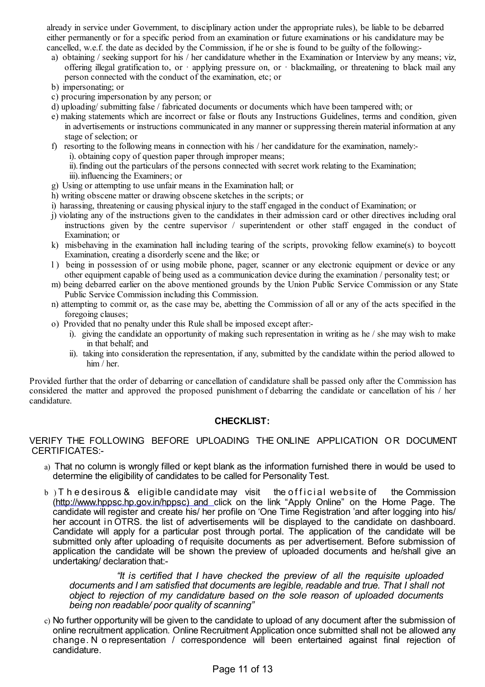already in service under Government, to disciplinary action under the appropriate rules), be liable to be debarred either permanently or for a specific period from an examination or future examinations or his candidature may be cancelled, w.e.f. the date as decided by the Commission, if he or she is found to be guilty of the following:-

- a) obtaining / seeking support for his / her candidature whether in the Examination or Interview by any means; viz, offering illegal gratification to, or  $\cdot$  applying pressure on, or  $\cdot$  blackmailing, or threatening to black mail any person connected with the conduct of the examination, etc; or
- b) impersonating; or
- c) procuring impersonation by any person; or
- d) uploading/ submitting false / fabricated documents or documents which have been tampered with; or
- e) making statements which are incorrect or false or flouts any Instructions Guidelines, terms and condition, given in advertisements or instructions communicated in any manner or suppressing therein material information at any stage of selection; or
- f) resorting to the following means in connection with his / her candidature for the examination, namely:
	- i). obtaining copy of question paper through improper means;
	- ii).finding out the particulars of the persons connected with secret work relating to the Examination; iii). influencing the Examiners; or
- g) Using or attempting to use unfair means in the Examination hall; or
- h) writing obscene matter or drawing obscene sketches in the scripts; or
- i) harassing, threatening or causing physical injury to the staff engaged in the conduct of Examination; or
- j) violating any of the instructions given to the candidates in their admission card or other directives including oral instructions given by the centre supervisor / superintendent or other staff engaged in the conduct of Examination; or
- k) misbehaving in the examination hall including tearing of the scripts, provoking fellow examine(s) to boycott Examination, creating a disorderly scene and the like; or
- l ) being in possession of or using mobile phone, pager, scanner or any electronic equipment or device or any other equipment capable of being used as a communication device during the examination / personality test; or
- m) being debarred earlier on the above mentioned grounds by the Union Public Service Commission or any State Public Service Commission including this Commission.
- n) attempting to commit or, as the case may be, abetting the Commission of all or any of the acts specified in the foregoing clauses;
- o) Provided that no penalty under this Rule shall be imposed except after:
	- i). giving the candidate an opportunity of making such representation in writing as he  $/$  she may wish to make in that behalf; and
	- ii). taking into consideration the representation, if any, submitted by the candidate within the period allowed to him / her.

Provided further that the order of debarring or cancellation of candidature shall be passed only after the Commission has considered the matter and approved the proposed punishment o f debarring the candidate or cancellation of his / her candidature.

### **CHECKLIST:**

#### VERIFY THE FOLLOWING BEFORE UPLOADING THE ONLINE APPLICATION OR DOCUMENT CERTIFICATES:-

- a) That no column is wrongly filled or kept blank as the information furnished there in would be used to determine the eligibility of candidates to be called for Personality Test.
- $b$ ) T h e desirous  $\&$  eligible candidate may visit the official website of the Commission [\(http://www.hppsc.hp.gov.in/hppsc\)](http://www.hppsc.hp.gov.in/hppsc)and) and click on the link "Apply Online" on the Home Page. The candidate will register and create his/ her profile on 'One Time Registration 'and after logging into his/ her account in OTRS. the list of advertisements will be displayed to the candidate on dashboard. Candidate will apply for a particular post through portal. The application of the candidate will be submitted only after uploading of requisite documents as per advertisement. Before submission of application the candidate will be shown the preview of uploaded documents and he/shall give an undertaking/ declaration that:-

*"It is certified that I have checked the preview of all the requisite uploaded documents and I am satisfied that documents are legible, readable and true. That I shall not object to rejection of my candidature based on the sole reason of uploaded documents being non readable/ poor quality of scanning"*

c) No further opportunity will be given to the candidate to upload of any document after the submission of online recruitment application. Online Recruitment Application once submitted shall not be allowed any change. N o representation / correspondence will been entertained against final rejection of candidature.